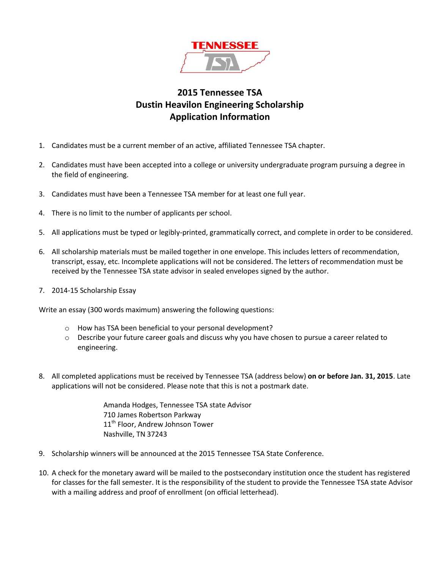

# **2015 Tennessee TSA Dustin Heavilon Engineering Scholarship Application Information**

- 1. Candidates must be a current member of an active, affiliated Tennessee TSA chapter.
- 2. Candidates must have been accepted into a college or university undergraduate program pursuing a degree in the field of engineering.
- 3. Candidates must have been a Tennessee TSA member for at least one full year.
- 4. There is no limit to the number of applicants per school.
- 5. All applications must be typed or legibly-printed, grammatically correct, and complete in order to be considered.
- 6. All scholarship materials must be mailed together in one envelope. This includes letters of recommendation, transcript, essay, etc. Incomplete applications will not be considered. The letters of recommendation must be received by the Tennessee TSA state advisor in sealed envelopes signed by the author.
- 7. 2014-15 Scholarship Essay

Write an essay (300 words maximum) answering the following questions:

- o How has TSA been beneficial to your personal development?
- $\circ$  Describe your future career goals and discuss why you have chosen to pursue a career related to engineering.
- 8. All completed applications must be received by Tennessee TSA (address below) **on or before Jan. 31, 2015**. Late applications will not be considered. Please note that this is not a postmark date.

Amanda Hodges, Tennessee TSA state Advisor 710 James Robertson Parkway 11<sup>th</sup> Floor, Andrew Johnson Tower Nashville, TN 37243

- 9. Scholarship winners will be announced at the 2015 Tennessee TSA State Conference.
- 10. A check for the monetary award will be mailed to the postsecondary institution once the student has registered for classes for the fall semester. It is the responsibility of the student to provide the Tennessee TSA state Advisor with a mailing address and proof of enrollment (on official letterhead).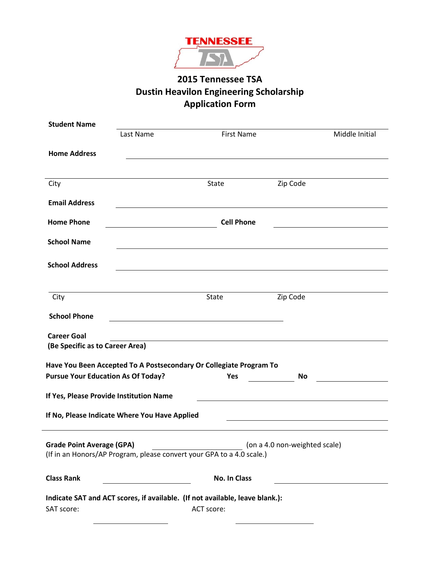

# **2015 Tennessee TSA Dustin Heavilon Engineering Scholarship Application Form**

| <b>Student Name</b>                       |                                               |                                                                                                                       |          |                |  |  |
|-------------------------------------------|-----------------------------------------------|-----------------------------------------------------------------------------------------------------------------------|----------|----------------|--|--|
|                                           | Last Name                                     | <b>First Name</b>                                                                                                     |          | Middle Initial |  |  |
|                                           |                                               |                                                                                                                       |          |                |  |  |
| <b>Home Address</b>                       |                                               |                                                                                                                       |          |                |  |  |
|                                           |                                               |                                                                                                                       |          |                |  |  |
| City                                      |                                               | <b>State</b>                                                                                                          | Zip Code |                |  |  |
|                                           |                                               |                                                                                                                       |          |                |  |  |
| <b>Email Address</b>                      |                                               |                                                                                                                       |          |                |  |  |
| <b>Home Phone</b>                         | <b>Cell Phone</b>                             |                                                                                                                       |          |                |  |  |
|                                           |                                               |                                                                                                                       |          |                |  |  |
| <b>School Name</b>                        |                                               |                                                                                                                       |          |                |  |  |
|                                           |                                               |                                                                                                                       |          |                |  |  |
| <b>School Address</b>                     |                                               |                                                                                                                       |          |                |  |  |
|                                           |                                               |                                                                                                                       |          |                |  |  |
| City                                      |                                               | <b>State</b>                                                                                                          | Zip Code |                |  |  |
|                                           |                                               |                                                                                                                       |          |                |  |  |
| <b>School Phone</b>                       |                                               | <u> 1989 - Johann Barbara, martin amerikan basal dan berkembang di banyak di banyak di banyak di banyak di banyak</u> |          |                |  |  |
| <b>Career Goal</b>                        |                                               |                                                                                                                       |          |                |  |  |
| (Be Specific as to Career Area)           |                                               |                                                                                                                       |          |                |  |  |
|                                           |                                               |                                                                                                                       |          |                |  |  |
|                                           |                                               | Have You Been Accepted To A Postsecondary Or Collegiate Program To                                                    |          |                |  |  |
| <b>Pursue Your Education As Of Today?</b> |                                               | Yes                                                                                                                   | No       |                |  |  |
| If Yes, Please Provide Institution Name   |                                               |                                                                                                                       |          |                |  |  |
|                                           |                                               |                                                                                                                       |          |                |  |  |
|                                           | If No, Please Indicate Where You Have Applied |                                                                                                                       |          |                |  |  |
|                                           |                                               |                                                                                                                       |          |                |  |  |
| <b>Grade Point Average (GPA)</b>          |                                               | (on a 4.0 non-weighted scale) (32)                                                                                    |          |                |  |  |
|                                           |                                               | (If in an Honors/AP Program, please convert your GPA to a 4.0 scale.)                                                 |          |                |  |  |
|                                           |                                               |                                                                                                                       |          |                |  |  |
| <b>Class Rank</b>                         |                                               | No. In Class                                                                                                          |          |                |  |  |
|                                           |                                               | Indicate SAT and ACT scores, if available. (If not available, leave blank.):                                          |          |                |  |  |
| SAT score:                                |                                               | ACT score:                                                                                                            |          |                |  |  |
|                                           |                                               |                                                                                                                       |          |                |  |  |

 $\overline{a}$